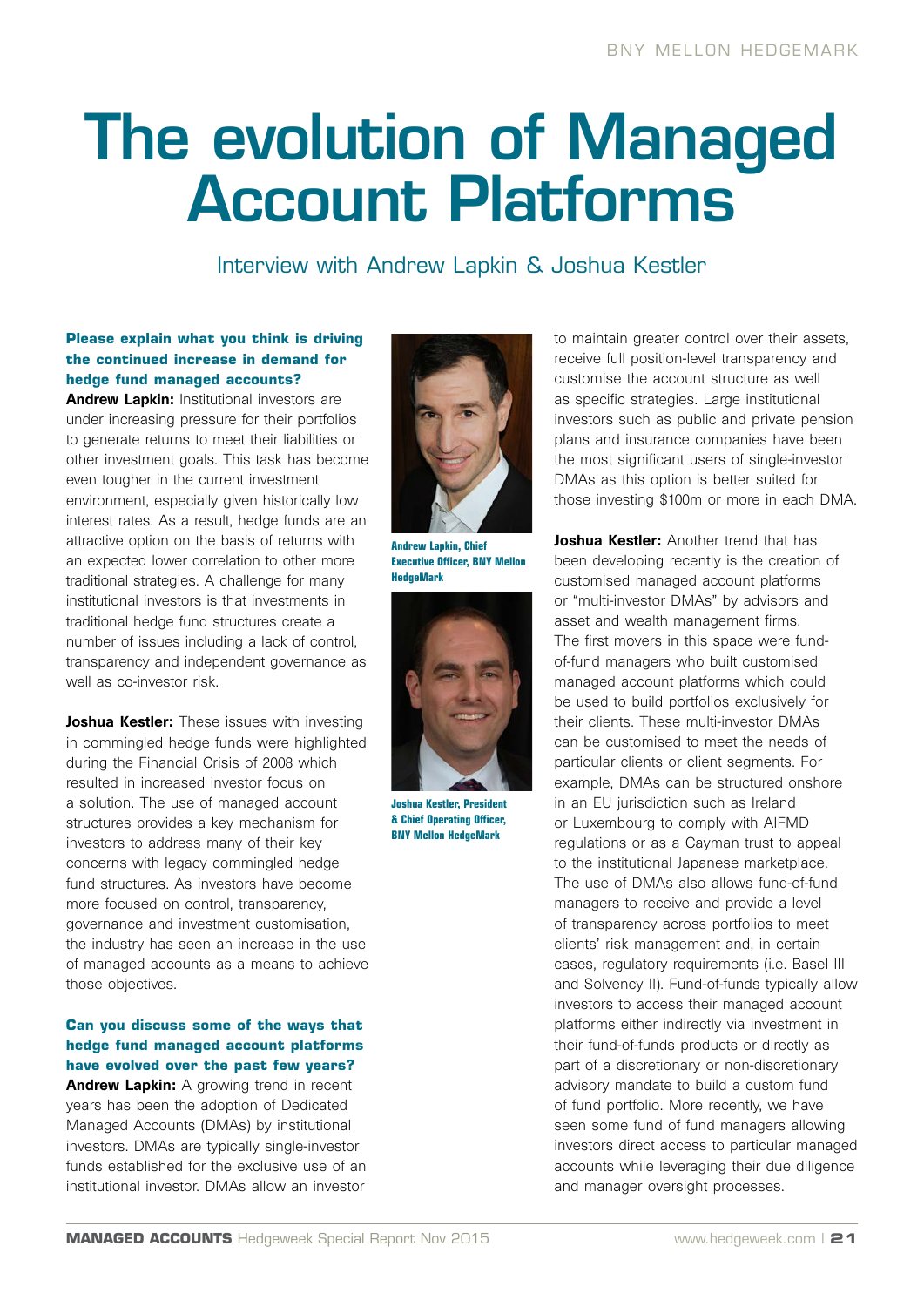# The evolution of Managed Account Platforms

Interview with Andrew Lapkin & Joshua Kestler

### **Please explain what you think is driving the continued increase in demand for hedge fund managed accounts?**

Andrew Lapkin: Institutional investors are under increasing pressure for their portfolios to generate returns to meet their liabilities or other investment goals. This task has become even tougher in the current investment environment, especially given historically low interest rates. As a result, hedge funds are an attractive option on the basis of returns with an expected lower correlation to other more traditional strategies. A challenge for many institutional investors is that investments in traditional hedge fund structures create a number of issues including a lack of control, transparency and independent governance as well as co-investor risk.

Joshua Kestler: These issues with investing in commingled hedge funds were highlighted during the Financial Crisis of 2008 which resulted in increased investor focus on a solution. The use of managed account structures provides a key mechanism for investors to address many of their key concerns with legacy commingled hedge fund structures. As investors have become more focused on control, transparency, governance and investment customisation, the industry has seen an increase in the use of managed accounts as a means to achieve those objectives.

## **Can you discuss some of the ways that hedge fund managed account platforms have evolved over the past few years?**

Andrew Lapkin: A growing trend in recent years has been the adoption of Dedicated Managed Accounts (DMAs) by institutional investors. DMAs are typically single-investor funds established for the exclusive use of an institutional investor. DMAs allow an investor



**Andrew Lapkin, Chief Executive Officer, BNY Mellon HedgeMark**



**Joshua Kestler, President & Chief Operating Officer, BNY Mellon HedgeMark** 

to maintain greater control over their assets, receive full position-level transparency and customise the account structure as well as specific strategies. Large institutional investors such as public and private pension plans and insurance companies have been the most significant users of single-investor DMAs as this option is better suited for those investing \$100m or more in each DMA.

Joshua Kestler: Another trend that has been developing recently is the creation of customised managed account platforms or "multi-investor DMAs" by advisors and asset and wealth management firms. The first movers in this space were fundof-fund managers who built customised managed account platforms which could be used to build portfolios exclusively for their clients. These multi-investor DMAs can be customised to meet the needs of particular clients or client segments. For example, DMAs can be structured onshore in an EU jurisdiction such as Ireland or Luxembourg to comply with AIFMD regulations or as a Cayman trust to appeal to the institutional Japanese marketplace. The use of DMAs also allows fund-of-fund managers to receive and provide a level of transparency across portfolios to meet clients' risk management and, in certain cases, regulatory requirements (i.e. Basel III and Solvency II). Fund-of-funds typically allow investors to access their managed account platforms either indirectly via investment in their fund-of-funds products or directly as part of a discretionary or non-discretionary advisory mandate to build a custom fund of fund portfolio. More recently, we have seen some fund of fund managers allowing investors direct access to particular managed accounts while leveraging their due diligence and manager oversight processes.